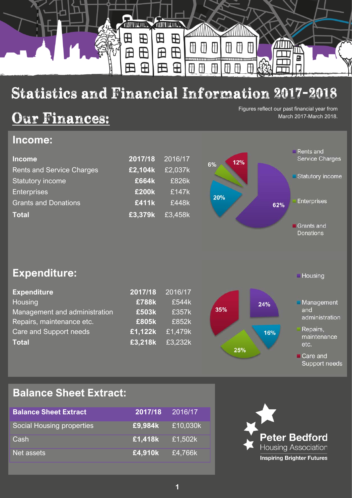

# Statistics and Financial Information 2017-2018

## Our Finances:

Figures reflect our past financial year from March 2017-March 2018.

**Housing** 

Care and

Support needs

### **Income:**

| <b>Income</b>                    | 2017/18 | 2016/17 | 12% | <b>Rents and</b><br><b>Service Charges</b> |
|----------------------------------|---------|---------|-----|--------------------------------------------|
| <b>Rents and Service Charges</b> | £2,104k | £2,037k | 6%  |                                            |
| <b>Statutory income</b>          | £664k   | £826k   |     | Statutory income                           |
| <b>Enterprises</b>               | £200k   | £147k   | 20% |                                            |
| <b>Grants and Donations</b>      | £411k   | £448k   | 62% | <b>Enterprises</b>                         |
| <b>Total</b>                     | £3,379k | £3,458k |     |                                            |
|                                  |         |         |     | Grants and<br><b>Donations</b>             |

**Expenditure:**

| <b>Expenditure</b><br>Housing<br>Management and administration | 2017/18<br>£788k<br>£503k | 2016/17<br>£544k<br>£357k | 35% | 24% | Management<br>and       |
|----------------------------------------------------------------|---------------------------|---------------------------|-----|-----|-------------------------|
| Repairs, maintenance etc.                                      | £805k                     | £852k                     |     |     | administration          |
| Care and Support needs                                         | £1,122k                   | £1,479k                   |     | 16% | Repairs,<br>maintenance |
| <b>Total</b>                                                   | £3,218k                   | £3,232k                   | 25% |     | etc.                    |

### **Balance Sheet Extract:**

| <b>Balance Sheet Extract</b> | 2017/18 | 2016/17  |
|------------------------------|---------|----------|
| Social Housing properties    | £9,984k | £10,030k |
| Cash                         | £1,418k | £1,502k  |
| Net assets                   | £4,910k | £4,766k  |